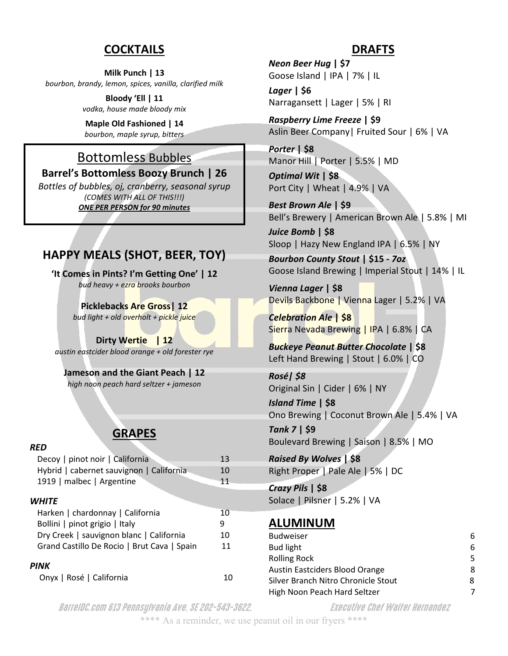#### **COCKTAILS**

**Milk Punch | 13**  *bourbon, brandy, lemon, spices, vanilla, clarified milk* 

> **Bloody 'Ell | 11** *vodka, house made bloody mix*

**Maple Old Fashioned | 14**  *bourbon, maple syrup, bitters* 

# Bottomless Bubbles

**Barrel's Bottomless Boozy Brunch | 26** 

*Bottles of bubbles, oj, cranberry, seasonal syrup (COMES WITH ALL OF THIS!!!) ONE PER PERSON for 90 minutes* 

# **HAPPY MEALS (SHOT, BEER, TOY)**

**'It Comes in Pints? I'm Getting One' | 12** *bud heavy + ezra brooks bourbon* 

> **Picklebacks Are Gross| 12**  *bud light + old overholt + pickle juice*

**Dirty Wertie | 12**  *austin eastcider blood orange + old forester rye* 

**Jameson and the Giant Peach | 12**  *high noon peach hard seltzer + jameson* 

# **GRAPES**

#### *RED*

| Decoy   pinot noir   California             | 13 |
|---------------------------------------------|----|
| Hybrid   cabernet sauvignon   California    | 10 |
| 1919   malbec   Argentine                   | 11 |
|                                             |    |
| WHITE                                       |    |
| Harken   chardonnay   California            | 10 |
| Bollini   pinot grigio   Italy              | 9  |
| Dry Creek   sauvignon blanc   California    | 10 |
| Grand Castillo De Rocio   Brut Cava   Spain | 11 |
|                                             |    |
| PINK                                        |    |
| Onyx   Rosé   California                    |    |

#### **DRAFTS**

*Neon Beer Hug* **| \$7**  Goose Island | IPA | 7% | IL

*Lager* **| \$6**  Narragansett | Lager | 5% | RI

*Raspberry Lime Freeze* **| \$9**  Aslin Beer Company| Fruited Sour | 6% | VA

*Porter* **| \$8**  Manor Hill | Porter | 5.5% | MD

*Optimal Wit* **| \$8**  Port City | Wheat | 4.9% | VA

*Best Brown Ale* **| \$9**  Bell's Brewery | American Brown Ale | 5.8% | MI

*Juice Bomb* **| \$8**  Sloop | Hazy New England IPA | 6.5% | NY

*Bourbon County Stout* **| \$15 -** *7oz* Goose Island Brewing | Imperial Stout | 14% | IL

*Vienna Lager* **| \$8**  Devils Backbone | Vienna Lager | 5.2% | VA

*Celebration Ale* **| \$8**  Sierra Nevada Brewing | IPA | 6.8% | CA

*Buckeye Peanut Butter Chocolate* **| \$8**  Left Hand Brewing | Stout | 6.0% | CO

*Rosé| \$8*  Original Sin | Cider | 6% | NY

*Island Time* **| \$8**  Ono Brewing | Coconut Brown Ale | 5.4% | VA

*Tank 7* **| \$9**  Boulevard Brewing | Saison | 8.5% | MO

*Raised By Wolves* **| \$8**  Right Proper | Pale Ale | 5% | DC

*Crazy Pils* **| \$8**  Solace | Pilsner | 5.2% | VA

# **ALUMINUM**

| <b>Budweiser</b>                    |    |
|-------------------------------------|----|
| Bud light                           |    |
| <b>Rolling Rock</b>                 | 5. |
| Austin Eastciders Blood Orange      | 8  |
| Silver Branch Nitro Chronicle Stout | 8  |
| High Noon Peach Hard Seltzer        |    |

BarrelDC.com 613 Pennsylvania Ave. SE 202-543-3622. Executive Chef Walfer Hernandez

\*\*\*\* As a reminder, we use peanut oil in our fryers \*\*\*\*